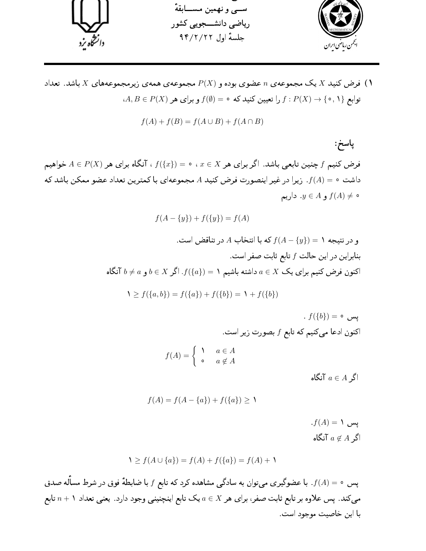

ا) فرض کنید  $X$  یک مجموعهی  $n$  عضوی بوده و  $P(X)$  مجموعهی همهی زیرمجموعههای  $X$  باشد. تعداد  $\lambda$  $A, B \in P(X)$  توابع  $f \colon P(X) \to f : P(X) \to \{ \circ, \Lambda \}$  و برای هر

$$
f(A) + f(B) = f(A \cup B) + f(A \cap B)
$$

پاسخ:  $A\in P(X)$  فرض کنیم  $f$  چنین تابعیی باشد. اگر برای هر  $x\in X$  ، ه $f(\{x\})=\mathcal{E}$  ، آنگاه برای هر داشت ه $(A)=f(A)$ . زیرا در غیر اینصورت فرض کنید A مجموعهای با کمترین تعداد عضو ممکن باشد که ه  $f(A) \neq y \in A$  و  $f(A) \neq y$ . داریم

 $f(A - \{y\}) + f(\{y\}) = f(A)$ 

و در نتیجه ۱ $(f(A - \{y\}) = f(A - \{y\}) = A$  در تناقض است. بنابراین در این حالت  $f$  تابع ثابت صفر است. اکنون فرض کنیم برای یک  $X \subset \mathbb{R}$  داشته باشیم ۱ $f(\{a\}) = f(\{a\})$ . اگر  $b \neq a$  و  $b \neq b$  آنگاه

$$
1 \ge f(\{a, b\}) = f(\{a\}) + f(\{b\}) = 1 + f(\{b\})
$$

 $f(\{b\}) = \circ$ یس اکنون ادعا میکنیم که تابع  $f$  بصورت زیر است.  $f(A) = \begin{cases} \lambda & a \in A \\ 0 & a \notin A \end{cases}$ 

اگر  $a \in A$  آنگاه

$$
f(A) = f(A - \{a\}) + f(\{a\}) \ge 1
$$

 $f(A) = \mathcal{N}$ یس اگر  $a \not\in A$  آنگاه

$$
1 \ge f(A \cup \{a\}) = f(A) + f(\{a\}) = f(A) + 1
$$

پس ٥ = f(A). با عضوگیری میتوان به سادگی مشاهده کرد که تابع f با ضابطهٔ فوق در شرط مسأله صدق میکند. پس علاوه بر تابع ثابت صفر، برای هر  $x$   $\in$  یک تابع اینچنینی وجود دارد. یعنی تعداد ۱ $n+1$  تابع با اين خاصيت موجود است.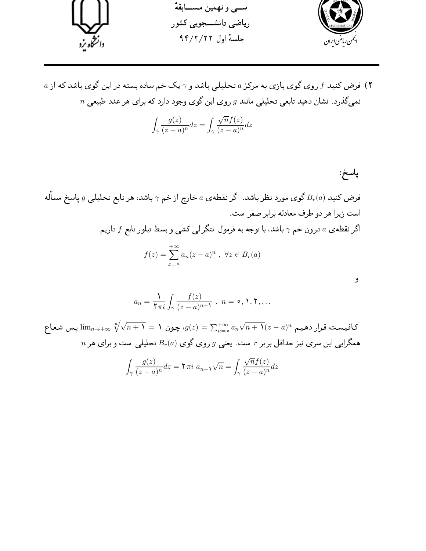

 $a$  ) فرض کنید  $f$  روی گوی بازی به مرکز  $a$  تحلیلی باشد و  $\gamma$  یک خم ساده بسته در این گوی باشد که از  $n$  نمیگذرد. نشان دهید تابعی تحلیلی مانند  $g$  روی این گوی وجود دارد که برای هر عدد طبیعی

$$
\int_{\gamma} \frac{g(z)}{(z-a)^n} dz = \int_{\gamma} \frac{\sqrt{n} f(z)}{(z-a)^n} dz
$$

باسخ: فرض کنید  $B_r(a)$  گوی مورد نظر باشد. اگر نقطه $a$  خارج از خم  $\gamma$  باشد، هر تابع تحلیلمی  $g$  پاسخ مسأله است زیرا هر دو طرف معادله برابر صفر است. اگر نقطهی a درون خم  $\gamma$  باشد، با توجه به فرمول انتگرالی کشی و بسط تیلور تابع  $f$  داریم  $f(z) = \sum_{n=0}^{+\infty} a_n (z - a)^n, \ \forall z \in B_r(a)$ و

$$
a_n = \frac{1}{\mathbf{Y} \pi i} \int_{\gamma} \frac{f(z)}{(z-a)^{n+1}}, \quad n = \circ, \mathbf{Y}, \mathbf{Y}, \dots
$$

کافیست قرار دهیم  $\lim_{n\to+\infty}\sqrt[n]{\sqrt{n+1}}=1$  پس شعاع  $g(z)=\sum_{n=-}^{+\infty}a_n\sqrt{n+1}(z-a)^n$  پس شعاع  $n$  همگرایی این سری نیز حداقل برابر  $r$  است. یعنی  $g$  روی گوی  $B_r(a)$  تحلیلی است و برای هر

$$
\int_{\gamma} \frac{g(z)}{(z-a)^n} dz = \mathbf{Y} \pi i \ a_{n-\lambda} \sqrt{n} = \int_{\gamma} \frac{\sqrt{n} f(z)}{(z-a)^n} dz
$$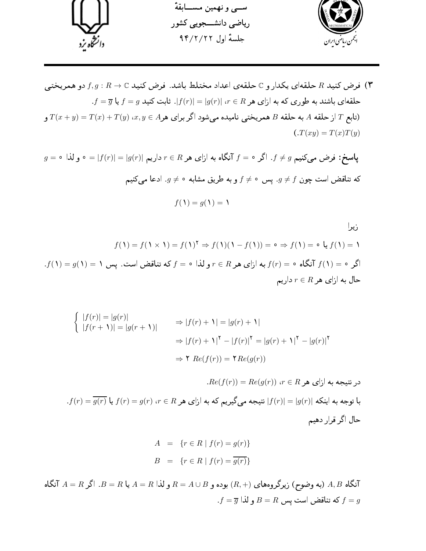

ا) فرض کنید R حلقهای یکدار و C حلقهی اعداد مختلط باشد. فرض کنید C به F, $g: R \to f, g$  دو همریختمی (۳  $f = \overline{g}$  حلقهای باشند به طوری که به ازای هر $r \in R$  ا $|g(r)| = |g(r)|$ . ثابت کنید  $f = \overline{g}$  یا رتابع  $T$  از حلقه A به حلقه B همريختبي ناميده ميشود اگر براي هر $x, y \in T(y)$   $(x + y) = T(x) + T(y)$  و T  $(T(xy) = T(x)T(y))$ 

$$
g = \circ \text{ } |f(r)| = |f(r)| = |g(r)|
$$
یا سخ: فرض میکنیم  $f \neq 0$ . اگر  $f = \circ$  آنگاه به ازای هر $R \neq r$  داریم  $g \neq f$  و لذا

$$
f(1) = g(1) = 1
$$

زیرا  $f(\Lambda)=f(\Lambda\times\Lambda)=f(\Lambda)^\top\Rightarrow f(\Lambda)(\Lambda-f(\Lambda))=\circ\Rightarrow f(\Lambda)=\circ f(\Lambda)=\Lambda$  $f(\Lambda)=g(\Lambda)=1$  اگر ه $f(\Lambda)=f(r)=f(r)$  آنگاه ه $f(r)=f(r)$  به ازای هر  $r\in R$  و لذا ه $f(r)=r$  که تناقض است. پس  $r \in R$  حال به ازای هر

$$
\begin{cases} |f(r)| = |g(r)| & \Rightarrow |f(r) + \mathbf{1}| = |g(r) + \mathbf{1}| \\ |f(r + \mathbf{1})| = |g(r + \mathbf{1})| & \Rightarrow |f(r) + \mathbf{1}|^{\mathsf{T}} - |f(r)|^{\mathsf{T}} = |g(r) + \mathbf{1}|^{\mathsf{T}} - |g(r)|^{\mathsf{T}} \\ & \Rightarrow \mathbf{1} \quad Re(f(r)) = \mathbf{1} \quad Re(g(r)) \end{cases}
$$

 $Re(f(r)) = Re(g(r))$   $\{r \in R \mid r \in R \mid r \in R\}$ در نتیجه به ازای هر  $f(r) = \overline{g(r)}$  با توجه به اینکه  $|f(r)| = |g(r)|$  نتیجه میگیریم که به ازای هر  $r \in R$  ،  $r \in g(r)$  یا حال اگر قرار دهیم

$$
A = \{r \in R \mid f(r) = g(r)\}\
$$
  

$$
B = \{r \in R \mid f(r) = \overline{g(r)}\}\
$$

تنگاه  $A,B$  (به وضوح) زیرگروههای  $(R,+)$  بوده و  $A\cup B$  و لذا  $A = R$  یا  $B = B$ . اگر  $A=B$  آنگاه  $A,B$  $f = \overline{g}$  كه تناقض است يس  $B = R$  و لذا  $f = g$ .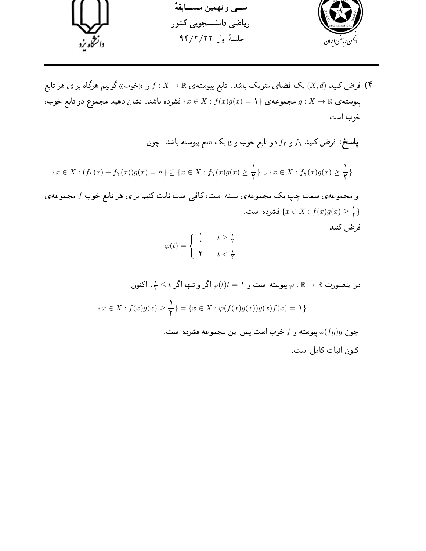

ا فرض کنید  $(X,d)$  یک فضای متریک باشد. تابع پیوستهی  $\mathbb{R}\to X\to f:X$  را «خوب» گوییم هرگاه برای هر تابع (۴ . پیوسته ی $X \to X \to \{x \in \{x \in X : f(x)g(x) = 1\}$  فشرده باشد. نشان دهید مجموع دو تابع خوب خوب است.

پاسخ: فرض کنید  $f_1$  و  $f_7$  دو تابع خوب و  ${\rm g}$  یک تابع پیوسته باشد. چون

$$
\{x\in X:(f_1(x)+f_1(x))g(x)=\circ\}\subseteq\{x\in X:f_1(x)g(x)\geq\frac{1}{\mathbf{Y}}\}\cup\{x\in X:f_1(x)g(x)\geq\frac{1}{\mathbf{Y}}\}
$$

و مجموعه ی سمت چپ یک مجموعه ی بسته است، کافی است ثابت کنیم برای هر تابع خوب  $f$  مجموعه ی فشرده است.  $\{x\in X:f(x)g(x)\geq \frac{1}{Y}\}$ فرض كنيد

$$
\varphi(t) = \begin{cases} \frac{1}{t} & t \ge \frac{1}{\mathsf{Y}} \\ \mathsf{Y} & t < \frac{1}{\mathsf{Y}} \end{cases}
$$

در اینصورت $\mathbb{R}\to\mathbb{R}:\varphi\colon\mathbb{R}\to\varphi(t)$ اگر و تنها اگر  $t\leq t\leq\frac{1}{T}$ . اکنون  $\{x \in X : f(x)g(x) \ge \frac{1}{\mathbf{Y}}\} = \{x \in X : \varphi(f(x)g(x))g(x)f(x) = 1\}$ 

چون 9(fg)g پیوسته و  $f$  خوب است پس این مجموعه فشرده است.

اكنون اثبات كامل است.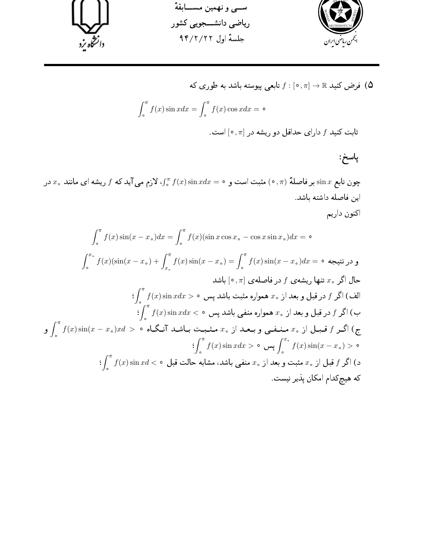

فرض کنید 
$$
\pi
$$
 (ه, π] → ℝ دابعی پیوسته باشد به طوری که  
\n
$$
\int_{0}^{\pi} f(x) \sin x dx = \int_{0}^{\pi} f(x) \cos x dx = 0
$$
\n
$$
\int_{0}^{\pi} f(x) \sin x dx = \int_{0}^{\pi} f(x) \cos x dx = 0
$$

پاسخ:

چون تابع  $x$   $\sin x$  بر فاصلهٔ  $\pi$  (  $\pi$  ) مثبت است و $\sin x$   $\sin x$   $\sin x$  ( $\pi$  ) لازم می آید که  $f$  ریشه ای مانند  $x$  در این فاصله داشته باشد. اكنون داريم